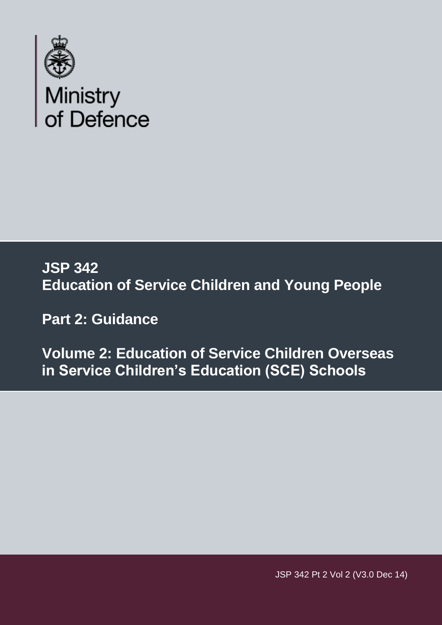

### **JSP 342 Education of Service Children and Young People**

 **Part 2: Guidance** 

 **Volume 2: Education of Service Children Overseas in Service Children's Education (SCE) Schools** 

JSP 342 Pt 2 Vol 2 (V3.0 Dec 14)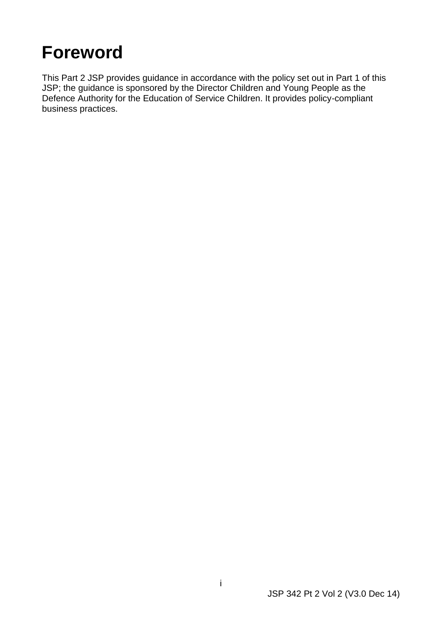### <span id="page-1-0"></span>**Foreword**

This Part 2 JSP provides guidance in accordance with the policy set out in Part 1 of this JSP; the guidance is sponsored by the Director Children and Young People as the Defence Authority for the Education of Service Children. It provides policy-compliant business practices.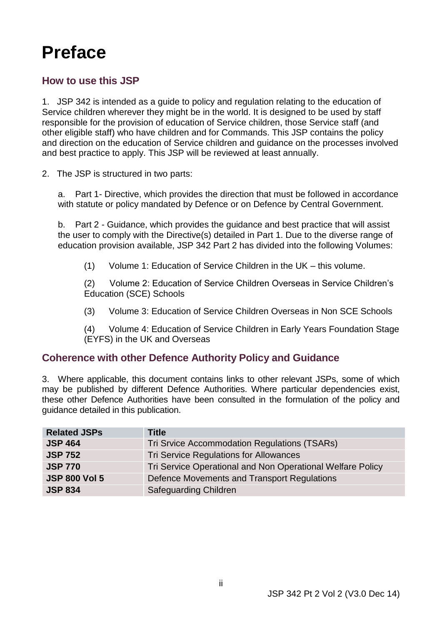### <span id="page-2-0"></span>**Preface**

#### **How to use this JSP**

 1. JSP 342 is intended as a guide to policy and regulation relating to the education of responsible for the provision of education of Service children, those Service staff (and Service children wherever they might be in the world. It is designed to be used by staff other eligible staff) who have children and for Commands. This JSP contains the policy and direction on the education of Service children and guidance on the processes involved and best practice to apply. This JSP will be reviewed at least annually.

2. The JSP is structured in two parts:

a. Part 1- Directive, which provides the direction that must be followed in accordance with statute or policy mandated by Defence or on Defence by Central Government.

 $b_{-}$  the user to comply with the Directive(s) detailed in Part 1. Due to the diverse range of education provision available, JSP 342 Part 2 has divided into the following Volumes: Part 2 - Guidance, which provides the guidance and best practice that will assist

 $(1)$ Volume 1: Education of Service Children in the UK – this volume.

(2) Volume 2: Education of Service Children Overseas in Service Children's Education (SCE) Schools

 $(3)$ (3) Volume 3: Education of Service Children Overseas in Non SCE Schools

 $(4)$ (4) Volume 4: Education of Service Children in Early Years Foundation Stage (EYFS) in the UK and Overseas

#### **Coherence with other Defence Authority Policy and Guidance**

 3. Where applicable, this document contains links to other relevant JSPs, some of which may be published by different Defence Authorities. Where particular dependencies exist, these other Defence Authorities have been consulted in the formulation of the policy and guidance detailed in this publication.

| <b>Related JSPs</b>  | <b>Title</b>                                               |  |
|----------------------|------------------------------------------------------------|--|
| <b>JSP 464</b>       | Tri Srvice Accommodation Regulations (TSARs)               |  |
| <b>JSP 752</b>       | Tri Service Regulations for Allowances                     |  |
| <b>JSP 770</b>       | Tri Service Operational and Non Operational Welfare Policy |  |
| <b>JSP 800 Vol 5</b> | Defence Movements and Transport Regulations                |  |
| <b>JSP 834</b>       | <b>Safeguarding Children</b>                               |  |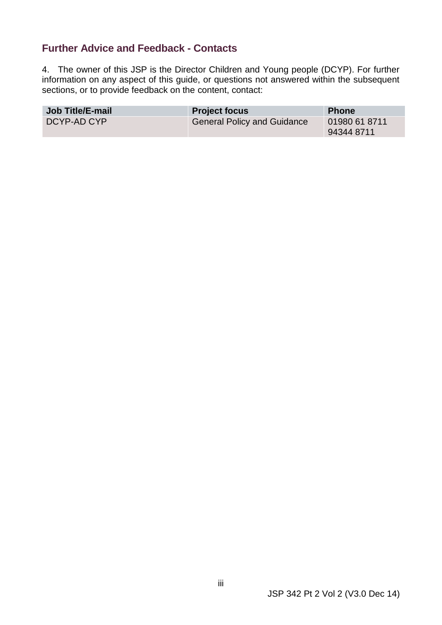#### <span id="page-3-0"></span> **Further Advice and Feedback - Contacts**

 4. The owner of this JSP is the Director Children and Young people (DCYP). For further information on any aspect of this guide, or questions not answered within the subsequent sections, or to provide feedback on the content, contact:

| <b>Job Title/E-mail</b> | <b>Project focus</b>               | <b>Phone</b>                |
|-------------------------|------------------------------------|-----------------------------|
| DCYP-AD CYP             | <b>General Policy and Guidance</b> | 01980 61 8711<br>94344 8711 |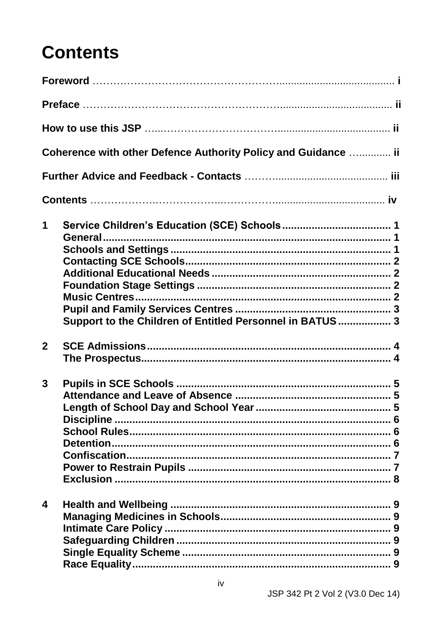### **Contents**

|              | Coherence with other Defence Authority Policy and Guidance  ii             |  |
|--------------|----------------------------------------------------------------------------|--|
|              |                                                                            |  |
|              |                                                                            |  |
| 1            | <b>General</b><br>Support to the Children of Entitled Personnel in BATUS 3 |  |
| $\mathbf{2}$ |                                                                            |  |
| $\mathbf{3}$ |                                                                            |  |
| 4            |                                                                            |  |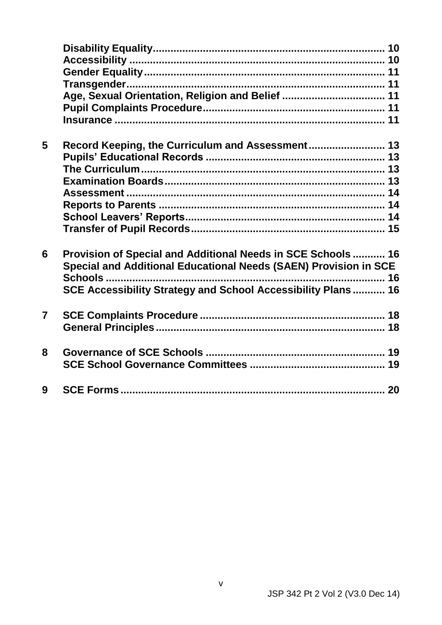|                | Age, Sexual Orientation, Religion and Belief  11                 |  |
|----------------|------------------------------------------------------------------|--|
|                |                                                                  |  |
|                |                                                                  |  |
| 5              | Record Keeping, the Curriculum and Assessment 13                 |  |
|                |                                                                  |  |
|                |                                                                  |  |
|                |                                                                  |  |
|                |                                                                  |  |
|                |                                                                  |  |
|                |                                                                  |  |
|                |                                                                  |  |
| 6              | Provision of Special and Additional Needs in SCE Schools 16      |  |
|                | Special and Additional Educational Needs (SAEN) Provision in SCE |  |
|                |                                                                  |  |
|                | SCE Accessibility Strategy and School Accessibility Plans 16     |  |
| $\overline{7}$ |                                                                  |  |
|                |                                                                  |  |
| 8              |                                                                  |  |
|                |                                                                  |  |
| 9              |                                                                  |  |
|                |                                                                  |  |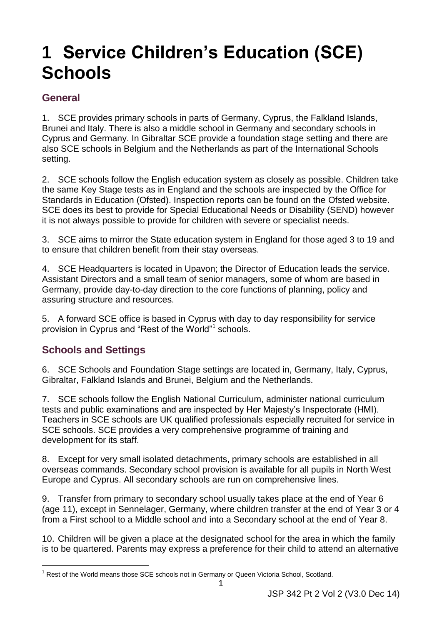### <span id="page-6-0"></span>**1 Service Children's Education (SCE) Schools**

#### <span id="page-6-1"></span>**General**

 Cyprus and Germany. In Gibraltar SCE provide a foundation stage setting and there are 1. SCE provides primary schools in parts of Germany, Cyprus, the Falkland Islands, Brunei and Italy. There is also a middle school in Germany and secondary schools in also SCE schools in Belgium and the Netherlands as part of the International Schools setting.

 Standards in Education (Ofsted). Inspection reports can be found on the Ofsted website. it is not always possible to provide for children with severe or specialist needs. 2. SCE schools follow the English education system as closely as possible. Children take the same Key Stage tests as in England and the schools are inspected by the Office for SCE does its best to provide for Special Educational Needs or Disability (SEND) however

 3. SCE aims to mirror the State education system in England for those aged 3 to 19 and to ensure that children benefit from their stay overseas.

 Germany, provide day-to-day direction to the core functions of planning, policy and assuring structure and resources. 4. SCE Headquarters is located in Upavon; the Director of Education leads the service. Assistant Directors and a small team of senior managers, some of whom are based in

 5. A forward SCE office is based in Cyprus with day to day responsibility for service provision in Cyprus and "Rest of the World"<sup>1</sup> schools.

#### <span id="page-6-2"></span> **Schools and Settings**

6. SCE Schools and Foundation Stage settings are located in, Germany, Italy, Cyprus, Gibraltar, Falkland Islands and Brunei, Belgium and the Netherlands.

7. SCE schools follow the English National Curriculum, administer national curriculum tests and public examinations and are inspected by Her Majesty's Inspectorate (HMI). Teachers in SCE schools are UK qualified professionals especially recruited for service in SCE schools. SCE provides a very comprehensive programme of training and development for its staff.

 8. Except for very small isolated detachments, primary schools are established in all overseas commands. Secondary school provision is available for all pupils in North West Europe and Cyprus. All secondary schools are run on comprehensive lines.

 9. Transfer from primary to secondary school usually takes place at the end of Year 6 (age 11), except in Sennelager, Germany, where children transfer at the end of Year 3 or 4 from a First school to a Middle school and into a Secondary school at the end of Year 8.

 10. Children will be given a place at the designated school for the area in which the family is to be quartered. Parents may express a preference for their child to attend an alternative

<sup>-</sup> $1$  Rest of the World means those SCE schools not in Germany or Queen Victoria School, Scotland.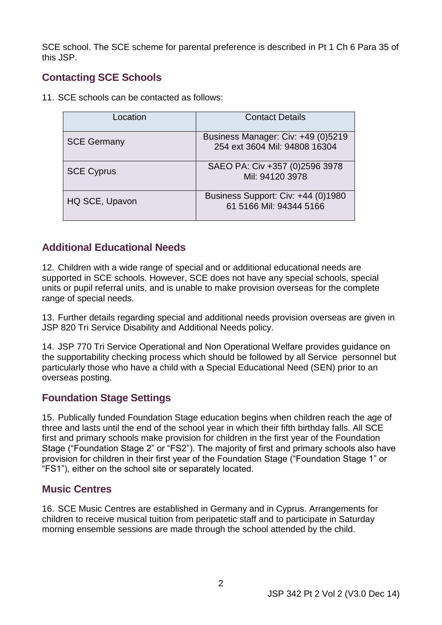SCE school. The SCE scheme for parental preference is described in Pt 1 Ch 6 Para 35 of this JSP.

#### <span id="page-7-0"></span> **Contacting SCE Schools**

11. SCE schools can be contacted as follows:

| Location           | <b>Contact Details</b>                                              |
|--------------------|---------------------------------------------------------------------|
| <b>SCE Germany</b> | Business Manager: Civ: +49 (0)5219<br>254 ext 3604 Mil: 94808 16304 |
| <b>SCE Cyprus</b>  | SAEO PA: Civ +357 (0)2596 3978<br>Mil: 94120 3978                   |
| HQ SCE, Upavon     | Business Support: Civ: +44 (0)1980<br>61 5166 Mil: 94344 5166       |

#### <span id="page-7-1"></span> **Additional Educational Needs**

12. Children with a wide range of special and or additional educational needs are supported in SCE schools. However, SCE does not have any special schools, special units or pupil referral units, and is unable to make provision overseas for the complete range of special needs.

13. Further details regarding special and additional needs provision overseas are given in JSP 820 Tri Service Disability and Additional Needs policy.

 14. JSP 770 Tri Service Operational and Non Operational Welfare provides guidance on particularly those who have a child with a Special Educational Need (SEN) prior to an the supportability checking process which should be followed by all Service personnel but overseas posting.

#### <span id="page-7-2"></span> **Foundation Stage Settings**

 15. Publically funded Foundation Stage education begins when children reach the age of first and primary schools make provision for children in the first year of the Foundation Stage ("Foundation Stage 2" or "FS2"). The majority of first and primary schools also have provision for children in their first year of the Foundation Stage ("Foundation Stage 1" or three and lasts until the end of the school year in which their fifth birthday falls. All SCE "FS1"), either on the school site or separately located.

#### <span id="page-7-3"></span> **Music Centres**

16. SCE Music Centres are established in Germany and in Cyprus. Arrangements for children to receive musical tuition from peripatetic staff and to participate in Saturday morning ensemble sessions are made through the school attended by the child.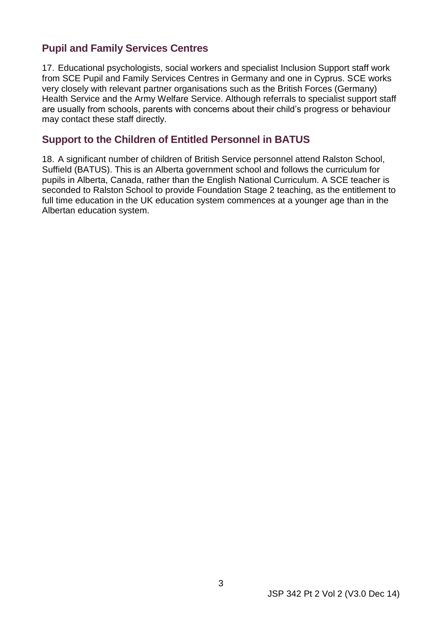#### <span id="page-8-0"></span> **Pupil and Family Services Centres**

 very closely with relevant partner organisations such as the British Forces (Germany) may contact these staff directly. 17. Educational psychologists, social workers and specialist Inclusion Support staff work from SCE Pupil and Family Services Centres in Germany and one in Cyprus. SCE works Health Service and the Army Welfare Service. Although referrals to specialist support staff are usually from schools, parents with concerns about their child's progress or behaviour

#### <span id="page-8-1"></span> **Support to the Children of Entitled Personnel in BATUS**

 18. A significant number of children of British Service personnel attend Ralston School, seconded to Ralston School to provide Foundation Stage 2 teaching, as the entitlement to Suffield (BATUS). This is an Alberta government school and follows the curriculum for pupils in Alberta, Canada, rather than the English National Curriculum. A SCE teacher is full time education in the UK education system commences at a younger age than in the Albertan education system.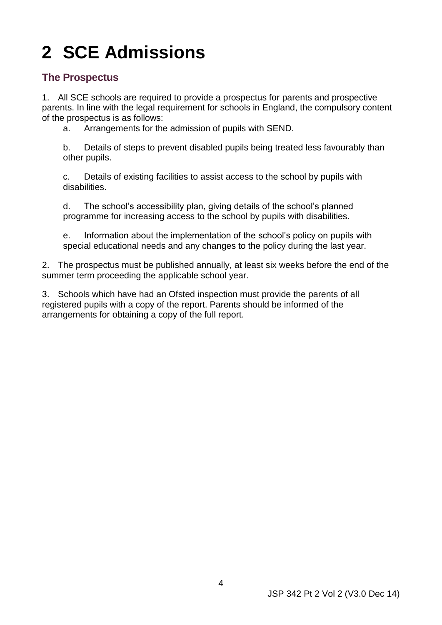# <span id="page-9-2"></span><span id="page-9-0"></span>**2 SCE Admissions**

#### <span id="page-9-1"></span>**The Prospectus**

 1. All SCE schools are required to provide a prospectus for parents and prospective parents. In line with the legal requirement for schools in England, the compulsory content of the prospectus is as follows:

a. Arrangements for the admission of pupils with SEND.

b. Details of steps to prevent disabled pupils being treated less favourably than other pupils.

c. Details of existing facilities to assist access to the school by pupils with disabilities.

d. The school's accessibility plan, giving details of the school's planned programme for increasing access to the school by pupils with disabilities.

 special educational needs and any changes to the policy during the last year. e. Information about the implementation of the school's policy on pupils with

 2. The prospectus must be published annually, at least six weeks before the end of the summer term proceeding the applicable school year.

 3. Schools which have had an Ofsted inspection must provide the parents of all registered pupils with a copy of the report. Parents should be informed of the arrangements for obtaining a copy of the full report.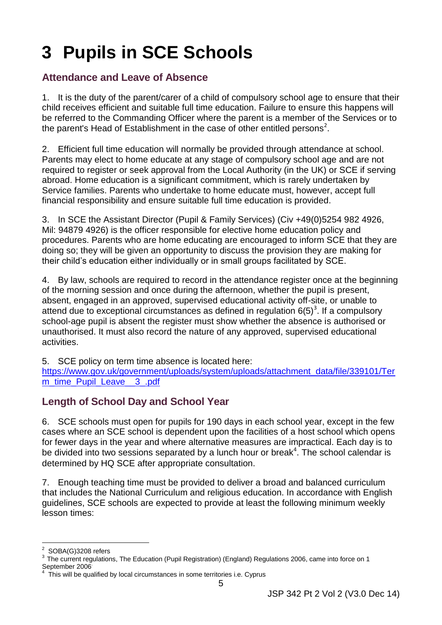# <span id="page-10-3"></span><span id="page-10-0"></span>**3 Pupils in SCE Schools**

#### <span id="page-10-1"></span> **Attendance and Leave of Absence**

 1. It is the duty of the parent/carer of a child of compulsory school age to ensure that their the parent's Head of Establishment in the case of other entitled persons<sup>2</sup>. child receives efficient and suitable full time education. Failure to ensure this happens will be referred to the Commanding Officer where the parent is a member of the Services or to

 2. Efficient full time education will normally be provided through attendance at school. Service families. Parents who undertake to home educate must, however, accept full financial responsibility and ensure suitable full time education is provided. Parents may elect to home educate at any stage of compulsory school age and are not required to register or seek approval from the Local Authority (in the UK) or SCE if serving abroad. Home education is a significant commitment, which is rarely undertaken by

 3. In SCE the Assistant Director (Pupil & Family Services) (Civ +49(0)5254 982 4926, Mil: 94879 4926) is the officer responsible for elective home education policy and procedures. Parents who are home educating are encouraged to inform SCE that they are doing so; they will be given an opportunity to discuss the provision they are making for their child's education either individually or in small groups facilitated by SCE.

 of the morning session and once during the afternoon, whether the pupil is present, absent, engaged in an approved, supervised educational activity off-site, or unable to attend due to exceptional circumstances as defined in regulation  $6(5)^3$ . If a compulsory unauthorised. It must also record the nature of any approved, supervised educational 4. By law, schools are required to record in the attendance register once at the beginning school-age pupil is absent the register must show whether the absence is authorised or activities.

5. SCE policy on term time absence is located here:

[https://www.gov.uk/government/uploads/system/uploads/attachment\\_data/file/339101/Ter](https://www.gov.uk/government/uploads/system/uploads/attachment_data/file/339101/Term_time_Pupil_Leave__3_.pdf)  m\_time\_Pupil\_Leave\_\_3\_.pdf

#### <span id="page-10-2"></span> **Length of School Day and School Year**

 6. SCE schools must open for pupils for 190 days in each school year, except in the few cases where an SCE school is dependent upon the facilities of a host school which opens be divided into two sessions separated by a lunch hour or break<sup>4</sup>. The school calendar is for fewer days in the year and where alternative measures are impractical. Each day is to determined by HQ SCE after appropriate consultation.

 7. Enough teaching time must be provided to deliver a broad and balanced curriculum that includes the National Curriculum and religious education. In accordance with English guidelines, SCE schools are expected to provide at least the following minimum weekly lesson times:

<sup>-</sup>

 $^2\,$  SOBA(G)3208 refers<br> $^3\,$  The current regulations, The Education (Pupil Registration) (England) Regulations 2006, came into force on 1 September 2006

<sup>4</sup> This will be qualified by local circumstances in some territories i.e. Cyprus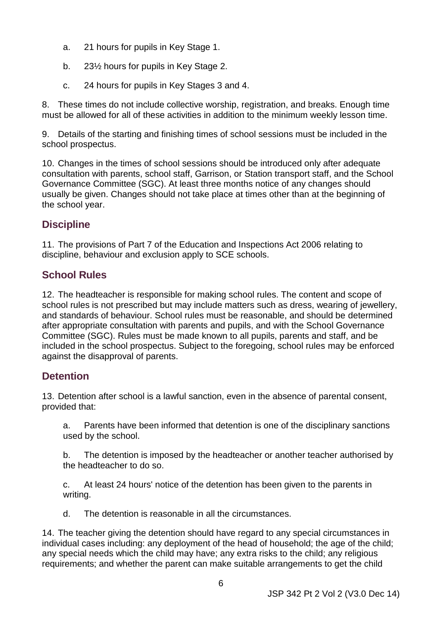- a. 21 hours for pupils in Key Stage 1.
- b. 23½ hours for pupils in Key Stage 2.
- c. 24 hours for pupils in Key Stages 3 and 4.

 must be allowed for all of these activities in addition to the minimum weekly lesson time. 8. These times do not include collective worship, registration, and breaks. Enough time

 9. Details of the starting and finishing times of school sessions must be included in the school prospectus.

10. Changes in the times of school sessions should be introduced only after adequate consultation with parents, school staff, Garrison, or Station transport staff, and the School Governance Committee (SGC). At least three months notice of any changes should usually be given. Changes should not take place at times other than at the beginning of the school year.

#### <span id="page-11-0"></span>**Discipline**

 discipline, behaviour and exclusion apply to SCE schools. 11. The provisions of Part 7 of the Education and Inspections Act 2006 relating to

#### <span id="page-11-1"></span> **School Rules**

 and standards of behaviour. School rules must be reasonable, and should be determined Committee (SGC). Rules must be made known to all pupils, parents and staff, and be included in the school prospectus. Subject to the foregoing, school rules may be enforced 12. The headteacher is responsible for making school rules. The content and scope of school rules is not prescribed but may include matters such as dress, wearing of jewellery, after appropriate consultation with parents and pupils, and with the School Governance against the disapproval of parents.

#### <span id="page-11-2"></span>**Detention**

13. Detention after school is a lawful sanction, even in the absence of parental consent, provided that:

a. Parents have been informed that detention is one of the disciplinary sanctions used by the school.

 b. The detention is imposed by the headteacher or another teacher authorised by the headteacher to do so.

c. At least 24 hours' notice of the detention has been given to the parents in writing.

d. The detention is reasonable in all the circumstances.

 individual cases including: any deployment of the head of household; the age of the child; 14. The teacher giving the detention should have regard to any special circumstances in any special needs which the child may have; any extra risks to the child; any religious requirements; and whether the parent can make suitable arrangements to get the child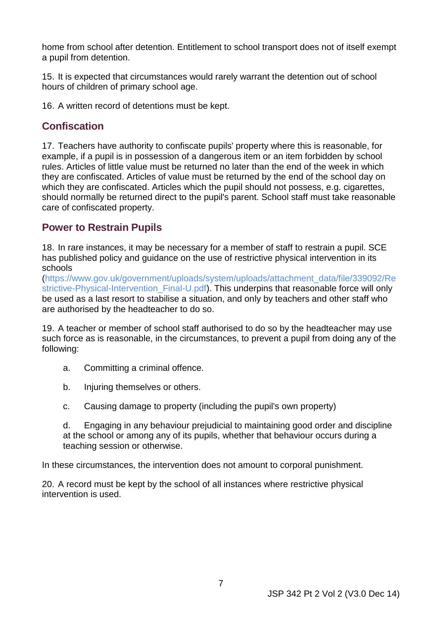home from school after detention. Entitlement to school transport does not of itself exempt a pupil from detention.

15. It is expected that circumstances would rarely warrant the detention out of school hours of children of primary school age.

16. A written record of detentions must be kept.

#### <span id="page-12-0"></span>**Confiscation**

 example, if a pupil is in possession of a dangerous item or an item forbidden by school rules. Articles of little value must be returned no later than the end of the week in which 17. Teachers have authority to confiscate pupils' property where this is reasonable, for they are confiscated. Articles of value must be returned by the end of the school day on which they are confiscated. Articles which the pupil should not possess, e.g. cigarettes, should normally be returned direct to the pupil's parent. School staff must take reasonable care of confiscated property.

#### <span id="page-12-1"></span> **Power to Restrain Pupils**

 has published policy and guidance on the use of restrictive physical intervention in its 18. In rare instances, it may be necessary for a member of staff to restrain a pupil. SCE schools

[\(https://www.gov.uk/government/uploads/system/uploads/attachment\\_data/file/339092/Re](https://www.gov.uk/government/uploads/system/uploads/attachment_data/file/339092/Restrictive-Physical-Intervention_Final-U.pdf)  strictive-Physical-Intervention Final-U.pdf). This underpins that reasonable force will only be used as a last resort to stabilise a situation, and only by teachers and other staff who are authorised by the headteacher to do so.

 such force as is reasonable, in the circumstances, to prevent a pupil from doing any of the 19. A teacher or member of school staff authorised to do so by the headteacher may use following:

- a. Committing a criminal offence.
- b. Injuring themselves or others.
- c. Causing damage to property (including the pupil's own property)

d. Engaging in any behaviour prejudicial to maintaining good order and discipline at the school or among any of its pupils, whether that behaviour occurs during a teaching session or otherwise.

In these circumstances, the intervention does not amount to corporal punishment.

20. A record must be kept by the school of all instances where restrictive physical intervention is used.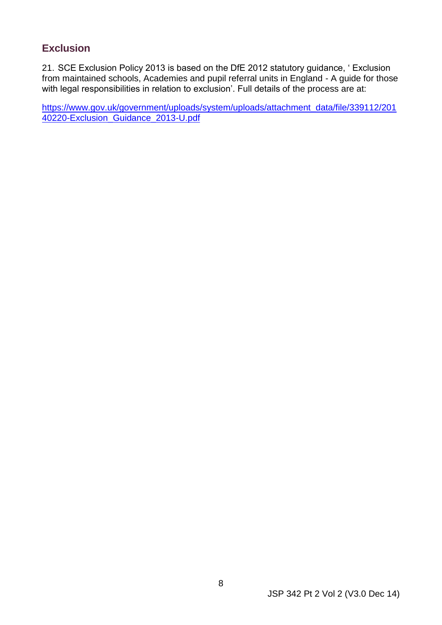#### <span id="page-13-0"></span>**Exclusion**

21. SCE Exclusion Policy 2013 is based on the DfE 2012 statutory guidance, ' Exclusion from maintained schools, Academies and pupil referral units in England - A guide for those with legal responsibilities in relation to exclusion'. Full details of the process are at:

40220-Exclusion\_Guidance\_2013-U.pdf [https://www.gov.uk/government/uploads/system/uploads/attachment\\_data/file/339112/201](https://www.gov.uk/government/uploads/system/uploads/attachment_data/file/339112/20140220-Exclusion_Guidance_2013-U.pdf)  [40220-Exclusion\\_Guidance\\_2013-U.pdf](https://www.gov.uk/government/uploads/system/uploads/attachment_data/file/339112/20140220-Exclusion_Guidance_2013-U.pdf) 8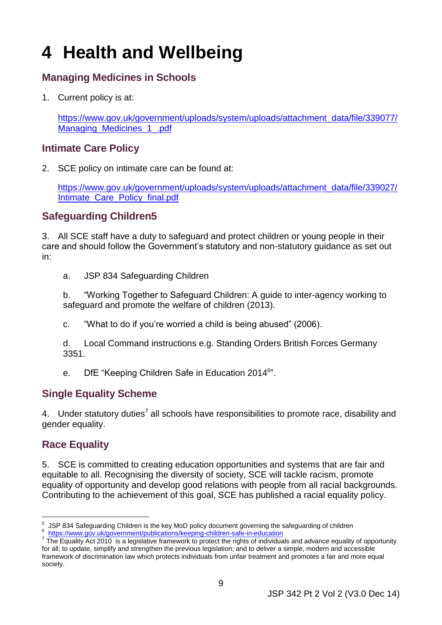# <span id="page-14-0"></span>**4 Health and Wellbeing**

#### <span id="page-14-1"></span> **Managing Medicines in Schools**

1. Current policy is at:

https://www.gov.uk/government/uploads/system/uploads/attachment\_data/file/339077/ Managing\_Medicines\_1\_.pdf

#### <span id="page-14-2"></span> **Intimate Care Policy**

2. SCE policy on intimate care can be found at:

[https://www.gov.uk/government/uploads/system/uploads/attachment\\_data/file/339027/](https://www.gov.uk/government/uploads/system/uploads/attachment_data/file/339027/Intimate_Care_Policy_final.pdf)  [Intimate\\_Care\\_Policy\\_final.pdf](https://www.gov.uk/government/uploads/system/uploads/attachment_data/file/339027/Intimate_Care_Policy_final.pdf) 

#### <span id="page-14-3"></span> **Safeguarding Children5**

3. All SCE staff have a duty to safeguard and protect children or young people in their care and should follow the Government's statutory and non-statutory guidance as set out in:

JSP 834 Safeguarding Children

a. JSP 834 Safeguarding Children<br>b. "Working Together to Safeguard Children: A guide to inter-agency working to safeguard and promote the welfare of children (2013).

c. "What to do if you're worried a child is being abused" (2006).

d. Local Command instructions e.g. Standing Orders British Forces Germany 3351.

e. DfE "Keeping Children Safe in Education 2014<sup>6</sup>".

#### <span id="page-14-4"></span> **Single Equality Scheme**

4. Under statutory duties<sup>7</sup> all schools have responsibilities to promote race, disability and gender equality.

#### <span id="page-14-5"></span> **Race Equality**

-

5. SCE is committed to creating education opportunities and systems that are fair and equitable to all. Recognising the diversity of society, SCE will tackle racism, promote equality of opportunity and develop good relations with people from all racial backgrounds. Contributing to the achievement of this goal, SCE has published a racial equality policy.

<sup>&</sup>lt;sup>5</sup> [JSP 834 Safeguarding Children is the key MoD policy document governing the s](https://www.gov.uk/government/publications/keeping-children-safe-in-education)afeguarding of children<br><sup>6</sup> https://www.gov.uk/government/publications/keeping-children-safe-in-education<br><sup>7</sup> The Equality Act 2010 is a legis

 for all; to update, simplify and strengthen the previous legislation; and to deliver a simple, modern and accessible framework of discrimination law which protects individuals from unfair treatment and promotes a fair and more equal society.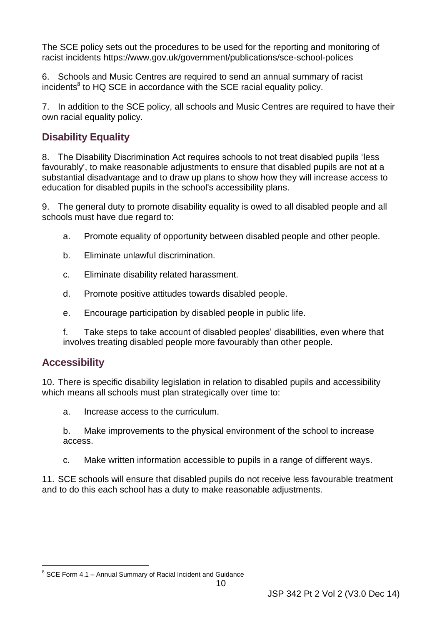The SCE policy sets out the procedures to be used for the reporting and monitoring of racist incidents<https://www.gov.uk/government/publications/sce-school-polices>

 6. Schools and Music Centres are required to send an annual summary of racist incidents<sup>8</sup> to HQ SCE in accordance with the SCE racial equality policy.

7. In addition to the SCE policy, all schools and Music Centres are required to have their own racial equality policy.

#### <span id="page-15-0"></span> **Disability Equality**

 substantial disadvantage and to draw up plans to show how they will increase access to education for disabled pupils in the school's accessibility plans. 8. The Disability Discrimination Act requires schools to not treat disabled pupils 'less favourably', to make reasonable adjustments to ensure that disabled pupils are not at a

 9. The general duty to promote disability equality is owed to all disabled people and all schools must have due regard to:

- a. Promote equality of opportunity between disabled people and other people.
- b. Eliminate unlawful discrimination.
- c. Eliminate disability related harassment.
- d. Promote positive attitudes towards disabled people.
- e. Encourage participation by disabled people in public life.
- f. Take steps to take account of disabled peoples' disabilities, even where that involves treating disabled people more favourably than other people.

#### <span id="page-15-1"></span>**Accessibility**

10. There is specific disability legislation in relation to disabled pupils and accessibility which means all schools must plan strategically over time to:

- a. Increase access to the curriculum.
- b. Make improvements to the physical environment of the school to increase access.
- c. Make written information accessible to pupils in a range of different ways.

 and to do this each school has a duty to make reasonable adjustments. 11. SCE schools will ensure that disabled pupils do not receive less favourable treatment

<sup>-</sup> $8$  SCE Form 4.1 – Annual Summary of Racial Incident and Guidance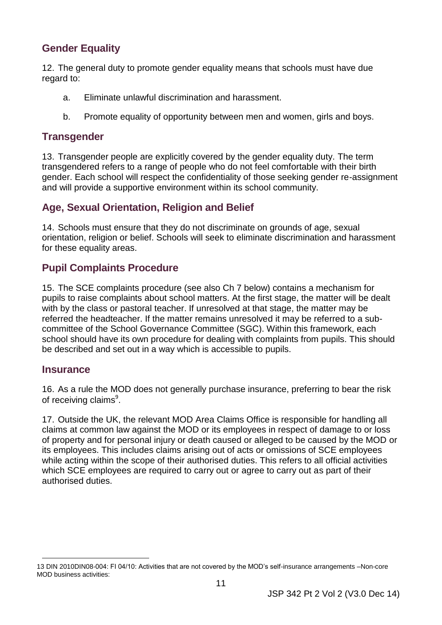#### <span id="page-16-0"></span> **Gender Equality**

12. The general duty to promote gender equality means that schools must have due regard to:

- a. Eliminate unlawful discrimination and harassment.
- b. Promote equality of opportunity between men and women, girls and boys.

#### <span id="page-16-1"></span>**Transgender**

 13. Transgender people are explicitly covered by the gender equality duty. The term transgendered refers to a range of people who do not feel comfortable with their birth gender. Each school will respect the confidentiality of those seeking gender re-assignment and will provide a supportive environment within its school community.

#### <span id="page-16-2"></span> **Age, Sexual Orientation, Religion and Belief**

 14. Schools must ensure that they do not discriminate on grounds of age, sexual orientation, religion or belief. Schools will seek to eliminate discrimination and harassment for these equality areas.

#### <span id="page-16-3"></span> **Pupil Complaints Procedure**

 be described and set out in a way which is accessible to pupils. 15. The SCE complaints procedure (see also Ch 7 below) contains a mechanism for pupils to raise complaints about school matters. At the first stage, the matter will be dealt with by the class or pastoral teacher. If unresolved at that stage, the matter may be referred the headteacher. If the matter remains unresolved it may be referred to a subcommittee of the School Governance Committee (SGC). Within this framework, each school should have its own procedure for dealing with complaints from pupils. This should

#### <span id="page-16-4"></span> **Insurance**

16. As a rule the MOD does not generally purchase insurance, preferring to bear the risk of receiving claims<sup>9</sup>.

 while acting within the scope of their authorised duties. This refers to all official activities authorised duties. 17. Outside the UK, the relevant MOD Area Claims Office is responsible for handling all claims at common law against the MOD or its employees in respect of damage to or loss of property and for personal injury or death caused or alleged to be caused by the MOD or its employees. This includes claims arising out of acts or omissions of SCE employees which SCE employees are required to carry out or agree to carry out as part of their

 $\overline{a}$ 13 DIN 2010DIN08-004: FI 04/10: Activities that are not covered by the MOD's self-insurance arrangements –Non-core MOD business activities: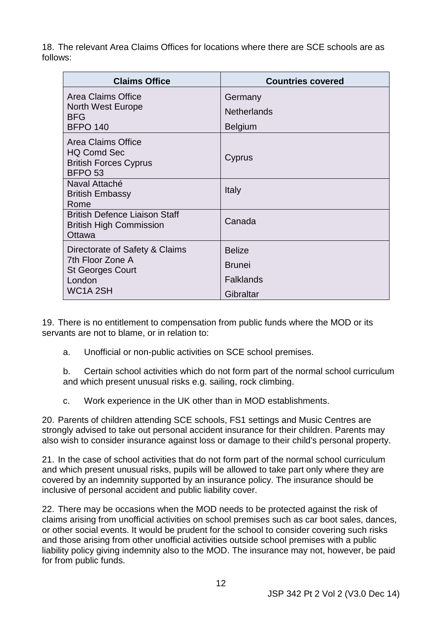18. The relevant Area Claims Offices for locations where there are SCE schools are as follows:

| <b>Claims Office</b>                                                                                                        | <b>Countries covered</b>                                        |
|-----------------------------------------------------------------------------------------------------------------------------|-----------------------------------------------------------------|
| Area Claims Office<br><b>North West Europe</b><br><b>BFG</b><br><b>BFPO 140</b>                                             | Germany<br><b>Netherlands</b><br><b>Belgium</b>                 |
| Area Claims Office<br><b>HQ Comd Sec</b><br><b>British Forces Cyprus</b><br>BFPO <sub>53</sub>                              | Cyprus                                                          |
| Naval Attaché<br><b>British Embassy</b><br>Rome                                                                             | Italy                                                           |
| <b>British Defence Liaison Staff</b><br><b>British High Commission</b><br>Ottawa                                            | Canada                                                          |
| Directorate of Safety & Claims<br>7th Floor Zone A<br><b>St Georges Court</b><br>London<br>WC <sub>1</sub> A <sub>2SH</sub> | <b>Belize</b><br><b>Brunei</b><br><b>Falklands</b><br>Gibraltar |

 19. There is no entitlement to compensation from public funds where the MOD or its servants are not to blame, or in relation to:

a. Unofficial or non-public activities on SCE school premises.

b. Certain school activities which do not form part of the normal school curriculum and which present unusual risks e.g. sailing, rock climbing.

c. Work experience in the UK other than in MOD establishments.

20. Parents of children attending SCE schools, FS1 settings and Music Centres are strongly advised to take out personal accident insurance for their children. Parents may also wish to consider insurance against loss or damage to their child's personal property.

 and which present unusual risks, pupils will be allowed to take part only where they are 21. In the case of school activities that do not form part of the normal school curriculum covered by an indemnity supported by an insurance policy. The insurance should be inclusive of personal accident and public liability cover.

 22. There may be occasions when the MOD needs to be protected against the risk of and those arising from other unofficial activities outside school premises with a public claims arising from unofficial activities on school premises such as car boot sales, dances, or other social events. It would be prudent for the school to consider covering such risks liability policy giving indemnity also to the MOD. The insurance may not, however, be paid for from public funds.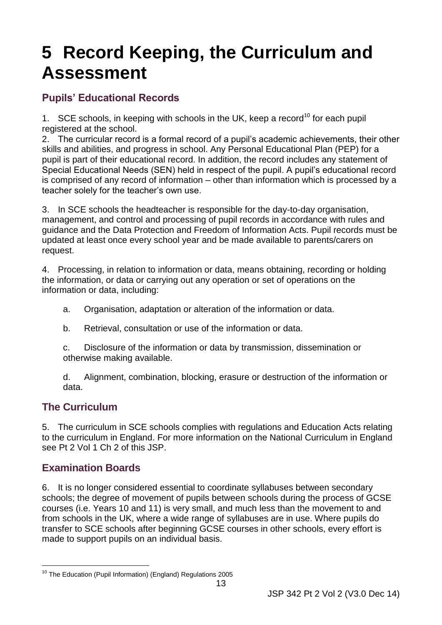### <span id="page-18-0"></span>**5 Record Keeping, the Curriculum and Assessment**

#### <span id="page-18-1"></span>**Pupils' Educational Records**

1. SCE schools, in keeping with schools in the UK, keep a record<sup>10</sup> for each pupil registered at the school.

 2. The curricular record is a formal record of a pupil's academic achievements, their other is comprised of any record of information – other than information which is processed by a skills and abilities, and progress in school. Any Personal Educational Plan (PEP) for a pupil is part of their educational record. In addition, the record includes any statement of Special Educational Needs (SEN) held in respect of the pupil. A pupil's educational record teacher solely for the teacher's own use.

 updated at least once every school year and be made available to parents/carers on 3. In SCE schools the headteacher is responsible for the day-to-day organisation, management, and control and processing of pupil records in accordance with rules and guidance and the Data Protection and Freedom of Information Acts. Pupil records must be request.

 4. Processing, in relation to information or data, means obtaining, recording or holding the information, or data or carrying out any operation or set of operations on the information or data, including:

- a. Organisation, adaptation or alteration of the information or data.
- b. Retrieval, consultation or use of the information or data.

c. Disclosure of the information or data by transmission, dissemination or otherwise making available.

d. Alignment, combination, blocking, erasure or destruction of the information or data.

#### <span id="page-18-2"></span>**The Curriculum**

 to the curriculum in England. For more information on the National Curriculum in England see Pt 2 Vol 1 Ch 2 of this JSP. 5. The curriculum in SCE schools complies with regulations and Education Acts relating

#### <span id="page-18-3"></span> **Examination Boards**

 schools; the degree of movement of pupils between schools during the process of GCSE courses (i.e. Years 10 and 11) is very small, and much less than the movement to and 6. It is no longer considered essential to coordinate syllabuses between secondary from schools in the UK, where a wide range of syllabuses are in use. Where pupils do transfer to SCE schools after beginning GCSE courses in other schools, every effort is made to support pupils on an individual basis.

<sup>-</sup><sup>10</sup> The Education (Pupil Information) (England) Regulations 2005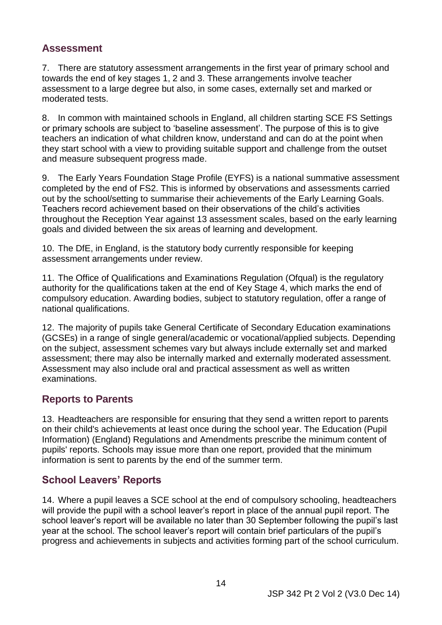#### <span id="page-19-0"></span>**Assessment**

 7. There are statutory assessment arrangements in the first year of primary school and assessment to a large degree but also, in some cases, externally set and marked or moderated tests. towards the end of key stages 1, 2 and 3. These arrangements involve teacher

 or primary schools are subject to 'baseline assessment'. The purpose of this is to give teachers an indication of what children know, understand and can do at the point when they start school with a view to providing suitable support and challenge from the outset 8. In common with maintained schools in England, all children starting SCE FS Settings and measure subsequent progress made.

goals and divided between the six areas of learning and development. 9. The Early Years Foundation Stage Profile (EYFS) is a national summative assessment completed by the end of FS2. This is informed by observations and assessments carried out by the school/setting to summarise their achievements of the Early Learning Goals. Teachers record achievement based on their observations of the child's activities throughout the Reception Year against 13 assessment scales, based on the early learning

goals and divided between the six areas of learning and development.<br>10. The DfE, in England, is the statutory body currently responsible for keeping assessment arrangements under review.

 authority for the qualifications taken at the end of Key Stage 4, which marks the end of compulsory education. Awarding bodies, subject to statutory regulation, offer a range of 11. The Office of Qualifications and Examinations Regulation (Ofqual) is the regulatory national qualifications.

 12. The majority of pupils take General Certificate of Secondary Education examinations on the subject, assessment schemes vary but always include externally set and marked (GCSEs) in a range of single general/academic or vocational/applied subjects. Depending assessment; there may also be internally marked and externally moderated assessment. Assessment may also include oral and practical assessment as well as written examinations.

#### <span id="page-19-1"></span> **Reports to Parents**

 pupils' reports. Schools may issue more than one report, provided that the minimum information is sent to parents by the end of the summer term. 13. Headteachers are responsible for ensuring that they send a written report to parents on their child's achievements at least once during the school year. The Education (Pupil Information) (England) Regulations and Amendments prescribe the minimum content of

#### <span id="page-19-2"></span> **School Leavers' Reports**

 14. Where a pupil leaves a SCE school at the end of compulsory schooling, headteachers will provide the pupil with a school leaver's report in place of the annual pupil report. The school leaver's report will be available no later than 30 September following the pupil's last year at the school. The school leaver's report will contain brief particulars of the pupil's progress and achievements in subjects and activities forming part of the school curriculum.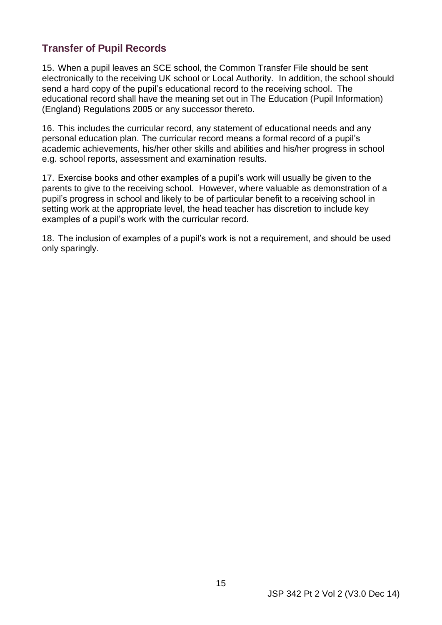#### <span id="page-20-0"></span> **Transfer of Pupil Records**

 electronically to the receiving UK school or Local Authority. In addition, the school should send a hard copy of the pupil's educational record to the receiving school. The 15. When a pupil leaves an SCE school, the Common Transfer File should be sent educational record shall have the meaning set out in The Education (Pupil Information) (England) Regulations 2005 or any successor thereto.

 personal education plan. The curricular record means a formal record of a pupil's 16. This includes the curricular record, any statement of educational needs and any academic achievements, his/her other skills and abilities and his/her progress in school e.g. school reports, assessment and examination results.

 parents to give to the receiving school. However, where valuable as demonstration of a examples of a pupil's work with the curricular record. 17. Exercise books and other examples of a pupil's work will usually be given to the pupil's progress in school and likely to be of particular benefit to a receiving school in setting work at the appropriate level, the head teacher has discretion to include key

examples of a pupil's work with the curricular record.<br>18. The inclusion of examples of a pupil's work is not a requirement, and should be used only sparingly.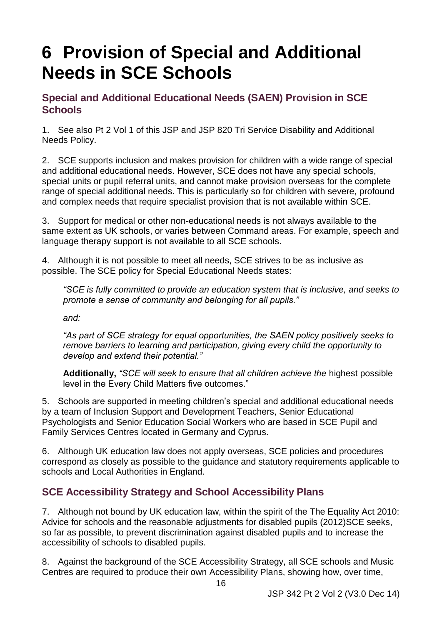# <span id="page-21-0"></span>**Needs in SCE Schools<br>
Special and Additional Educational Needs (SAEN) Provision in SCE 6 Provision of Special and Additional**

# <span id="page-21-1"></span>**Schools**

 1. See also Pt 2 Vol 1 of this JSP and JSP 820 Tri Service Disability and Additional Needs Policy.

2. SCE supports inclusion and makes provision for children with a wide range of special and additional educational needs. However, SCE does not have any special schools, special units or pupil referral units, and cannot make provision overseas for the complete range of special additional needs. This is particularly so for children with severe, profound and complex needs that require specialist provision that is not available within SCE.

 same extent as UK schools, or varies between Command areas. For example, speech and 3. Support for medical or other non-educational needs is not always available to the language therapy support is not available to all SCE schools.

4. Although it is not possible to meet all needs, SCE strives to be as inclusive as possible. The SCE policy for Special Educational Needs states:

*"SCE is fully committed to provide an education system that is inclusive, and seeks to promote a sense of community and belonging for all pupils."* 

*and:* 

 *remove barriers to learning and participation, giving every child the opportunity to "As part of SCE strategy for equal opportunities, the SAEN policy positively seeks to develop and extend their potential."* 

**Additionally,** *"SCE will seek to ensure that all children achieve the* highest possible level in the Every Child Matters five outcomes."

Family Services Centres located in Germany and Cyprus. 5. Schools are supported in meeting children's special and additional educational needs by a team of Inclusion Support and Development Teachers, Senior Educational Psychologists and Senior Education Social Workers who are based in SCE Pupil and

 schools and Local Authorities in England. 6. Although UK education law does not apply overseas, SCE policies and procedures correspond as closely as possible to the guidance and statutory requirements applicable to

#### <span id="page-21-2"></span> **SCE Accessibility Strategy and School Accessibility Plans**

 7. Although not bound by UK education law, within the spirit of the The Equality Act 2010: so far as possible, to prevent discrimination against disabled pupils and to increase the Advice for schools and the reasonable adjustments for disabled pupils (2012)SCE seeks, accessibility of schools to disabled pupils.

8. Against the background of the SCE Accessibility Strategy, all SCE schools and Music Centres are required to produce their own Accessibility Plans, showing how, over time,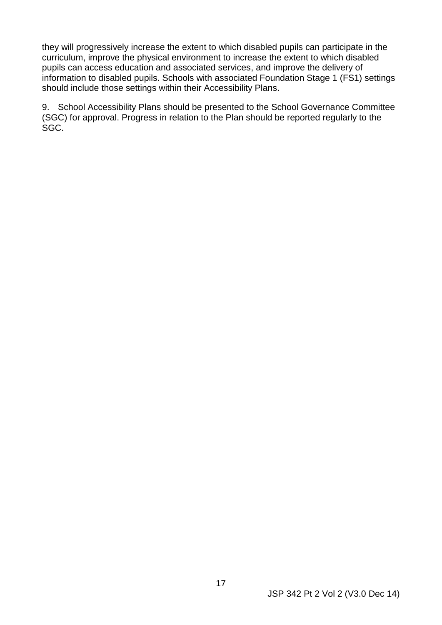pupils can access education and associated services, and improve the delivery of information to disabled pupils. Schools with associated Foundation Stage 1 (FS1) settings they will progressively increase the extent to which disabled pupils can participate in the curriculum, improve the physical environment to increase the extent to which disabled should include those settings within their Accessibility Plans.

9. School Accessibility Plans should be presented to the School Governance Committee (SGC) for approval. Progress in relation to the Plan should be reported regularly to the SGC.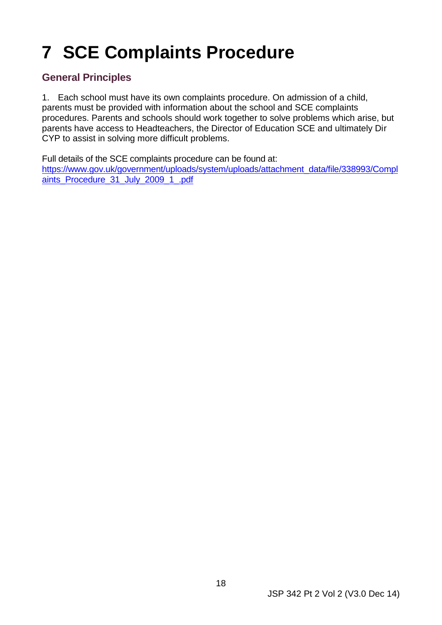# <span id="page-23-0"></span>**7 SCE Complaints Procedure**

#### <span id="page-23-1"></span> **General Principles**

1. Each school must have its own complaints procedure. On admission of a child, parents must be provided with information about the school and SCE complaints procedures. Parents and schools should work together to solve problems which arise, but parents have access to Headteachers, the Director of Education SCE and ultimately Dir CYP to assist in solving more difficult problems.

Full details of the SCE complaints procedure can be found at:

[https://www.gov.uk/government/uploads/system/uploads/attachment\\_data/file/338993/Compl](https://www.gov.uk/government/uploads/system/uploads/attachment_data/file/338993/Complaints_Procedure_31_July_2009_1_.pdf)  [aints\\_Procedure\\_31\\_July\\_2009\\_1\\_.pdf](https://www.gov.uk/government/uploads/system/uploads/attachment_data/file/338993/Complaints_Procedure_31_July_2009_1_.pdf)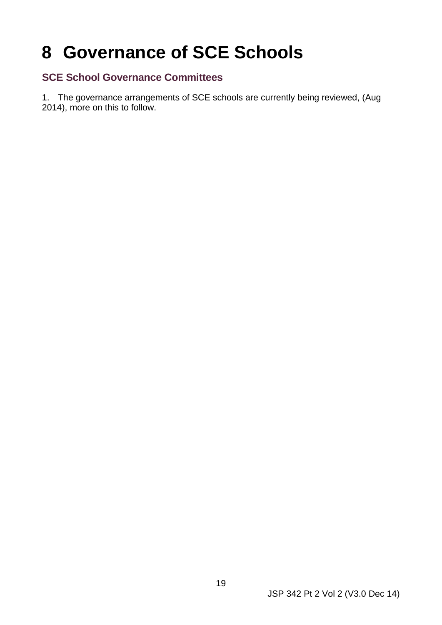## <span id="page-24-0"></span>**8 Governance of SCE Schools**

#### <span id="page-24-1"></span> **SCE School Governance Committees**

 2014), more on this to follow. 1. The governance arrangements of SCE schools are currently being reviewed, (Aug